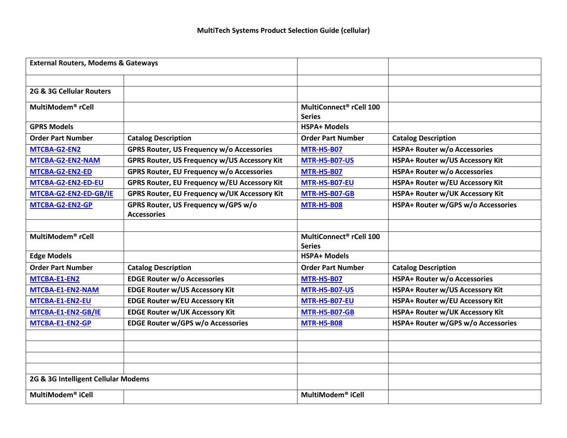| <b>External Routers, Modems &amp; Gateways</b> |                                                           |                                                      |                                        |
|------------------------------------------------|-----------------------------------------------------------|------------------------------------------------------|----------------------------------------|
|                                                |                                                           |                                                      |                                        |
| 2G & 3G Cellular Routers                       |                                                           |                                                      |                                        |
| MultiModem <sup>®</sup> rCell                  |                                                           | MultiConnect <sup>®</sup> rCell 100<br><b>Series</b> |                                        |
| <b>GPRS Models</b>                             |                                                           | <b>HSPA+ Models</b>                                  |                                        |
| <b>Order Part Number</b>                       | <b>Catalog Description</b>                                | <b>Order Part Number</b>                             | <b>Catalog Description</b>             |
| MTCBA-G2-EN2                                   | GPRS Router, US Frequency w/o Accessories                 | <b>MTR-H5-B07</b>                                    | <b>HSPA+ Router w/o Accessories</b>    |
| MTCBA-G2-EN2-NAM                               | GPRS Router, US Frequency w/US Accessory Kit              | <b>MTR-H5-B07-US</b>                                 | HSPA+ Router w/US Accessory Kit        |
| MTCBA-G2-EN2-ED                                | GPRS Router, EU Frequency w/o Accessories                 | <b>MTR-H5-B07</b>                                    | HSPA+ Router w/o Accessories           |
| MTCBA-G2-EN2-ED-EU                             | GPRS Router, EU Frequency w/EU Accessory Kit              | <b>MTR-H5-B07-EU</b>                                 | HSPA+ Router w/EU Accessory Kit        |
| MTCBA-G2-EN2-ED-GB/IE                          | GPRS Router, EU Frequency w/UK Accessory Kit              | <b>MTR-H5-B07-GB</b>                                 | HSPA+ Router w/UK Accessory Kit        |
| MTCBA-G2-EN2-GP                                | GPRS Router, US Frequency w/GPS w/o<br><b>Accessories</b> | <b>MTR-H5-B08</b>                                    | HSPA+ Router w/GPS w/o Accessories     |
|                                                |                                                           |                                                      |                                        |
| MultiModem <sup>®</sup> rCell                  |                                                           | MultiConnect <sup>®</sup> rCell 100<br><b>Series</b> |                                        |
| <b>Edge Models</b>                             |                                                           | <b>HSPA+ Models</b>                                  |                                        |
| <b>Order Part Number</b>                       | <b>Catalog Description</b>                                | <b>Order Part Number</b>                             | <b>Catalog Description</b>             |
| MTCBA-E1-EN2                                   | <b>EDGE Router w/o Accessories</b>                        | <b>MTR-H5-B07</b>                                    | <b>HSPA+ Router w/o Accessories</b>    |
| MTCBA-E1-EN2-NAM                               | <b>EDGE Router w/US Accessory Kit</b>                     | <b>MTR-H5-B07-US</b>                                 | HSPA+ Router w/US Accessory Kit        |
| MTCBA-E1-EN2-EU                                | <b>EDGE Router w/EU Accessory Kit</b>                     | <b>MTR-H5-B07-EU</b>                                 | HSPA+ Router w/EU Accessory Kit        |
| MTCBA-E1-EN2-GB/IE                             | <b>EDGE Router w/UK Accessory Kit</b>                     | <b>MTR-H5-B07-GB</b>                                 | <b>HSPA+ Router w/UK Accessory Kit</b> |
| MTCBA-E1-EN2-GP                                | <b>EDGE Router w/GPS w/o Accessories</b>                  | <b>MTR-H5-B08</b>                                    | HSPA+ Router w/GPS w/o Accessories     |
|                                                |                                                           |                                                      |                                        |
|                                                |                                                           |                                                      |                                        |
|                                                |                                                           |                                                      |                                        |
|                                                |                                                           |                                                      |                                        |
| 2G & 3G Intelligent Cellular Modems            |                                                           |                                                      |                                        |
| MultiModem <sup>®</sup> iCell                  |                                                           | MultiModem <sup>®</sup> iCell                        |                                        |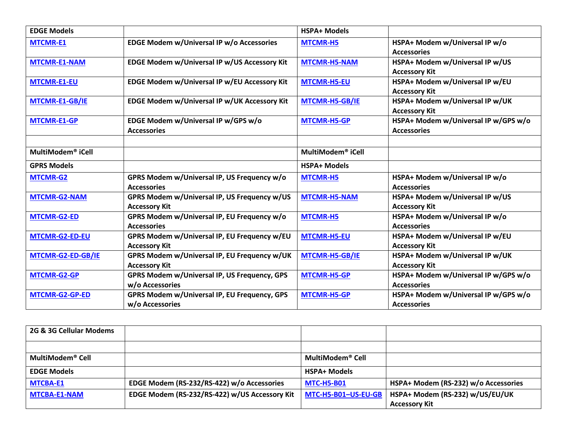| <b>EDGE Models</b>            |                                                                      | <b>HSPA+ Models</b>           |                                                            |
|-------------------------------|----------------------------------------------------------------------|-------------------------------|------------------------------------------------------------|
| <b>MTCMR-E1</b>               | EDGE Modem w/Universal IP w/o Accessories                            | <b>MTCMR-H5</b>               | HSPA+ Modem w/Universal IP w/o<br><b>Accessories</b>       |
| <b>MTCMR-E1-NAM</b>           | EDGE Modem w/Universal IP w/US Accessory Kit                         | <b>MTCMR-H5-NAM</b>           | HSPA+ Modem w/Universal IP w/US<br><b>Accessory Kit</b>    |
| <b>MTCMR-E1-EU</b>            | EDGE Modem w/Universal IP w/EU Accessory Kit                         | <b>MTCMR-H5-EU</b>            | HSPA+ Modem w/Universal IP w/EU<br><b>Accessory Kit</b>    |
| MTCMR-E1-GB/IE                | EDGE Modem w/Universal IP w/UK Accessory Kit                         | <b>MTCMR-H5-GB/IE</b>         | HSPA+ Modem w/Universal IP w/UK<br><b>Accessory Kit</b>    |
| <b>MTCMR-E1-GP</b>            | EDGE Modem w/Universal IP w/GPS w/o<br><b>Accessories</b>            | <b>MTCMR-H5-GP</b>            | HSPA+ Modem w/Universal IP w/GPS w/o<br><b>Accessories</b> |
| MultiModem <sup>®</sup> iCell |                                                                      | MultiModem <sup>®</sup> iCell |                                                            |
| <b>GPRS Models</b>            |                                                                      | <b>HSPA+ Models</b>           |                                                            |
| <b>MTCMR-G2</b>               | GPRS Modem w/Universal IP, US Frequency w/o<br><b>Accessories</b>    | <b>MTCMR-H5</b>               | HSPA+ Modem w/Universal IP w/o<br><b>Accessories</b>       |
| <b>MTCMR-G2-NAM</b>           | GPRS Modem w/Universal IP, US Frequency w/US<br><b>Accessory Kit</b> | <b>MTCMR-H5-NAM</b>           | HSPA+ Modem w/Universal IP w/US<br><b>Accessory Kit</b>    |
| <b>MTCMR-G2-ED</b>            | GPRS Modem w/Universal IP, EU Frequency w/o<br><b>Accessories</b>    | <b>MTCMR-H5</b>               | HSPA+ Modem w/Universal IP w/o<br><b>Accessories</b>       |
| <b>MTCMR-G2-ED-EU</b>         | GPRS Modem w/Universal IP, EU Frequency w/EU<br><b>Accessory Kit</b> | <b>MTCMR-H5-EU</b>            | HSPA+ Modem w/Universal IP w/EU<br><b>Accessory Kit</b>    |
| MTCMR-G2-ED-GB/IE             | GPRS Modem w/Universal IP, EU Frequency w/UK<br><b>Accessory Kit</b> | MTCMR-H5-GB/IE                | HSPA+ Modem w/Universal IP w/UK<br><b>Accessory Kit</b>    |
| <b>MTCMR-G2-GP</b>            | GPRS Modem w/Universal IP, US Frequency, GPS<br>w/o Accessories      | <b>MTCMR-H5-GP</b>            | HSPA+ Modem w/Universal IP w/GPS w/o<br><b>Accessories</b> |
| <b>MTCMR-G2-GP-ED</b>         | GPRS Modem w/Universal IP, EU Frequency, GPS<br>w/o Accessories      | <b>MTCMR-H5-GP</b>            | HSPA+ Modem w/Universal IP w/GPS w/o<br><b>Accessories</b> |

| 2G & 3G Cellular Modems |                                               |                     |                                      |
|-------------------------|-----------------------------------------------|---------------------|--------------------------------------|
|                         |                                               |                     |                                      |
| MultiModem® Cell        |                                               | MultiModem® Cell    |                                      |
| <b>EDGE Models</b>      |                                               | <b>HSPA+ Models</b> |                                      |
| <b>MTCBA-E1</b>         | EDGE Modem (RS-232/RS-422) w/o Accessories    | <b>MTC-H5-B01</b>   | HSPA+ Modem (RS-232) w/o Accessories |
| <b>MTCBA-E1-NAM</b>     | EDGE Modem (RS-232/RS-422) w/US Accessory Kit | MTC-H5-B01-US-EU-GB | HSPA+ Modem (RS-232) w/US/EU/UK      |
|                         |                                               |                     | <b>Accessory Kit</b>                 |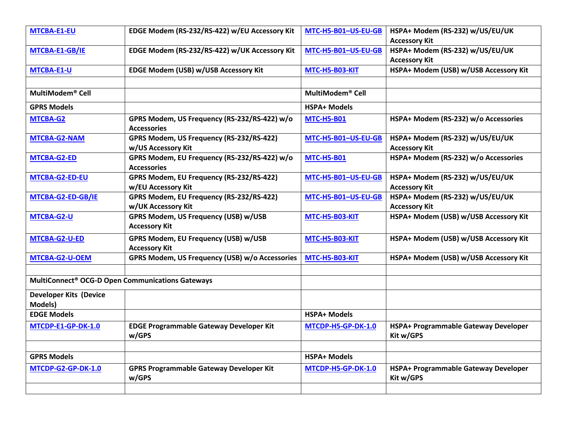| MTCBA-E1-EU                                                  | EDGE Modem (RS-232/RS-422) w/EU Accessory Kit                      | MTC-H5-B01-US-EU-GB          | HSPA+ Modem (RS-232) w/US/EU/UK<br><b>Accessory Kit</b> |
|--------------------------------------------------------------|--------------------------------------------------------------------|------------------------------|---------------------------------------------------------|
| MTCBA-E1-GB/IE                                               | EDGE Modem (RS-232/RS-422) w/UK Accessory Kit                      | MTC-H5-B01-US-EU-GB          | HSPA+ Modem (RS-232) w/US/EU/UK<br><b>Accessory Kit</b> |
| MTCBA-E1-U                                                   | EDGE Modem (USB) w/USB Accessory Kit                               | MTC-H5-B03-KIT               | HSPA+ Modem (USB) w/USB Accessory Kit                   |
|                                                              |                                                                    |                              |                                                         |
| MultiModem <sup>®</sup> Cell                                 |                                                                    | MultiModem <sup>®</sup> Cell |                                                         |
| <b>GPRS Models</b>                                           |                                                                    | <b>HSPA+ Models</b>          |                                                         |
| MTCBA-G2                                                     | GPRS Modem, US Frequency (RS-232/RS-422) w/o<br><b>Accessories</b> | <b>MTC-H5-B01</b>            | HSPA+ Modem (RS-232) w/o Accessories                    |
| MTCBA-G2-NAM                                                 | GPRS Modem, US Frequency (RS-232/RS-422)<br>w/US Accessory Kit     | MTC-H5-B01-US-EU-GB          | HSPA+ Modem (RS-232) w/US/EU/UK<br><b>Accessory Kit</b> |
| MTCBA-G2-ED                                                  | GPRS Modem, EU Frequency (RS-232/RS-422) w/o<br><b>Accessories</b> | <b>MTC-H5-B01</b>            | HSPA+ Modem (RS-232) w/o Accessories                    |
| MTCBA-G2-ED-EU                                               | GPRS Modem, EU Frequency (RS-232/RS-422)<br>w/EU Accessory Kit     | MTC-H5-B01-US-EU-GB          | HSPA+ Modem (RS-232) w/US/EU/UK<br><b>Accessory Kit</b> |
| MTCBA-G2-ED-GB/IE                                            | GPRS Modem, EU Frequency (RS-232/RS-422)<br>w/UK Accessory Kit     | MTC-H5-B01-US-EU-GB          | HSPA+ Modem (RS-232) w/US/EU/UK<br><b>Accessory Kit</b> |
| MTCBA-G2-U                                                   | GPRS Modem, US Frequency (USB) w/USB<br><b>Accessory Kit</b>       | MTC-H5-B03-KIT               | HSPA+ Modem (USB) w/USB Accessory Kit                   |
| MTCBA-G2-U-ED                                                | GPRS Modem, EU Frequency (USB) w/USB<br><b>Accessory Kit</b>       | MTC-H5-B03-KIT               | HSPA+ Modem (USB) w/USB Accessory Kit                   |
| MTCBA-G2-U-OEM                                               | GPRS Modem, US Frequency (USB) w/o Accessories                     | MTC-H5-B03-KIT               | HSPA+ Modem (USB) w/USB Accessory Kit                   |
|                                                              |                                                                    |                              |                                                         |
| MultiConnect <sup>®</sup> OCG-D Open Communications Gateways |                                                                    |                              |                                                         |
| <b>Developer Kits (Device</b><br>Models)                     |                                                                    |                              |                                                         |
| <b>EDGE Models</b>                                           |                                                                    | <b>HSPA+ Models</b>          |                                                         |
| MTCDP-E1-GP-DK-1.0                                           | <b>EDGE Programmable Gateway Developer Kit</b><br>w/GPS            | MTCDP-H5-GP-DK-1.0           | HSPA+ Programmable Gateway Developer<br>Kit w/GPS       |
|                                                              |                                                                    |                              |                                                         |
| <b>GPRS Models</b>                                           |                                                                    | <b>HSPA+ Models</b>          |                                                         |
| MTCDP-G2-GP-DK-1.0                                           | <b>GPRS Programmable Gateway Developer Kit</b><br>w/GPS            | MTCDP-H5-GP-DK-1.0           | HSPA+ Programmable Gateway Developer<br>Kit w/GPS       |
|                                                              |                                                                    |                              |                                                         |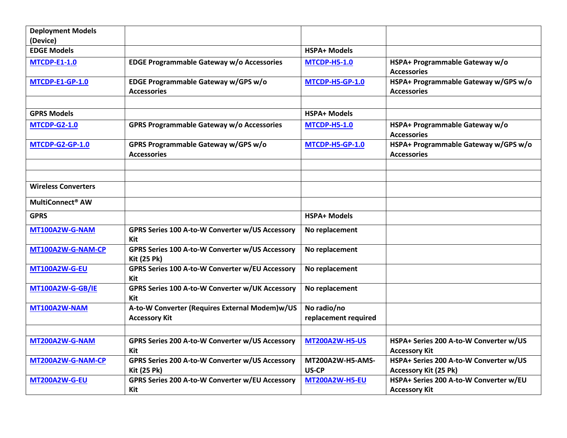| <b>Deployment Models</b>     |                                                                        |                                     |                                                                        |
|------------------------------|------------------------------------------------------------------------|-------------------------------------|------------------------------------------------------------------------|
| (Device)                     |                                                                        |                                     |                                                                        |
| <b>EDGE Models</b>           |                                                                        | <b>HSPA+ Models</b>                 |                                                                        |
| <b>MTCDP-E1-1.0</b>          | EDGE Programmable Gateway w/o Accessories                              | <b>MTCDP-H5-1.0</b>                 | HSPA+ Programmable Gateway w/o<br><b>Accessories</b>                   |
| <b>MTCDP-E1-GP-1.0</b>       | EDGE Programmable Gateway w/GPS w/o<br><b>Accessories</b>              | <b>MTCDP-H5-GP-1.0</b>              | HSPA+ Programmable Gateway w/GPS w/o<br><b>Accessories</b>             |
|                              |                                                                        |                                     |                                                                        |
| <b>GPRS Models</b>           |                                                                        | <b>HSPA+ Models</b>                 |                                                                        |
| <b>MTCDP-G2-1.0</b>          | GPRS Programmable Gateway w/o Accessories                              | <b>MTCDP-H5-1.0</b>                 | HSPA+ Programmable Gateway w/o<br><b>Accessories</b>                   |
| <b>MTCDP-G2-GP-1.0</b>       | GPRS Programmable Gateway w/GPS w/o<br><b>Accessories</b>              | <b>MTCDP-H5-GP-1.0</b>              | HSPA+ Programmable Gateway w/GPS w/o<br><b>Accessories</b>             |
|                              |                                                                        |                                     |                                                                        |
|                              |                                                                        |                                     |                                                                        |
| <b>Wireless Converters</b>   |                                                                        |                                     |                                                                        |
| MultiConnect <sup>®</sup> AW |                                                                        |                                     |                                                                        |
| <b>GPRS</b>                  |                                                                        | <b>HSPA+ Models</b>                 |                                                                        |
| MT100A2W-G-NAM               | GPRS Series 100 A-to-W Converter w/US Accessory<br>Kit                 | No replacement                      |                                                                        |
| MT100A2W-G-NAM-CP            | GPRS Series 100 A-to-W Converter w/US Accessory<br><b>Kit (25 Pk)</b>  | No replacement                      |                                                                        |
| <b>MT100A2W-G-EU</b>         | GPRS Series 100 A-to-W Converter w/EU Accessory<br>Kit                 | No replacement                      |                                                                        |
| MT100A2W-G-GB/IE             | GPRS Series 100 A-to-W Converter w/UK Accessory<br>Kit                 | No replacement                      |                                                                        |
| <b>MT100A2W-NAM</b>          | A-to-W Converter (Requires External Modem)w/US<br><b>Accessory Kit</b> | No radio/no<br>replacement required |                                                                        |
|                              |                                                                        |                                     |                                                                        |
| MT200A2W-G-NAM               | GPRS Series 200 A-to-W Converter w/US Accessory<br>Kit                 | <b>MT200A2W-H5-US</b>               | HSPA+ Series 200 A-to-W Converter w/US<br><b>Accessory Kit</b>         |
| MT200A2W-G-NAM-CP            | GPRS Series 200 A-to-W Converter w/US Accessory<br><b>Kit (25 Pk)</b>  | MT200A2W-H5-AMS-<br>US-CP           | HSPA+ Series 200 A-to-W Converter w/US<br><b>Accessory Kit (25 Pk)</b> |
| <b>MT200A2W-G-EU</b>         | GPRS Series 200 A-to-W Converter w/EU Accessory<br>Kit                 | <b>MT200A2W-H5-EU</b>               | HSPA+ Series 200 A-to-W Converter w/EU<br><b>Accessory Kit</b>         |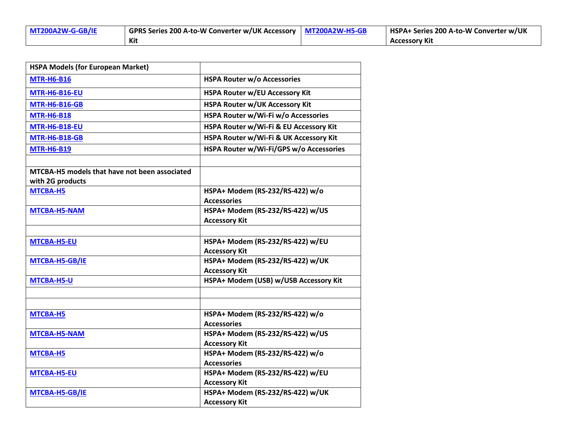| $M7200A2W-G-GB/IE$ | GPRS Series 200 A-to-W Converter w/UK Accessory   MT200A2W-H5-GB | HSPA+ Series 200 A-to-W Converter w/UK |
|--------------------|------------------------------------------------------------------|----------------------------------------|
|                    | Kit                                                              | <b>Accessory Kit</b>                   |

| <b>HSPA Models (for European Market)</b>                          |                                         |
|-------------------------------------------------------------------|-----------------------------------------|
| <b>MTR-H6-B16</b>                                                 | <b>HSPA Router w/o Accessories</b>      |
| <b>MTR-H6-B16-EU</b>                                              | <b>HSPA Router w/EU Accessory Kit</b>   |
| <b>MTR-H6-B16-GB</b>                                              | <b>HSPA Router w/UK Accessory Kit</b>   |
| <b>MTR-H6-B18</b>                                                 | HSPA Router w/Wi-Fi w/o Accessories     |
| <b>MTR-H6-B18-EU</b>                                              | HSPA Router w/Wi-Fi & EU Accessory Kit  |
| <b>MTR-H6-B18-GB</b>                                              | HSPA Router w/Wi-Fi & UK Accessory Kit  |
| <b>MTR-H6-B19</b>                                                 | HSPA Router w/Wi-Fi/GPS w/o Accessories |
|                                                                   |                                         |
| MTCBA-H5 models that have not been associated<br>with 2G products |                                         |
| MTCBA-H5                                                          | HSPA+ Modem (RS-232/RS-422) w/o         |
|                                                                   | <b>Accessories</b>                      |
| <b>MTCBA-H5-NAM</b>                                               | HSPA+ Modem (RS-232/RS-422) w/US        |
|                                                                   | <b>Accessory Kit</b>                    |
|                                                                   |                                         |
| <b>MTCBA-H5-EU</b>                                                | HSPA+ Modem (RS-232/RS-422) w/EU        |
|                                                                   | <b>Accessory Kit</b>                    |
| MTCBA-H5-GB/IE                                                    | HSPA+ Modem (RS-232/RS-422) w/UK        |
|                                                                   | <b>Accessory Kit</b>                    |
| <b>MTCBA-H5-U</b>                                                 | HSPA+ Modem (USB) w/USB Accessory Kit   |
|                                                                   |                                         |
|                                                                   |                                         |
| MTCBA-H5                                                          | HSPA+ Modem (RS-232/RS-422) w/o         |
|                                                                   | <b>Accessories</b>                      |
| <b>MTCBA-H5-NAM</b>                                               | HSPA+ Modem (RS-232/RS-422) w/US        |
|                                                                   | <b>Accessory Kit</b>                    |
| MTCBA-H5                                                          | HSPA+ Modem (RS-232/RS-422) w/o         |
|                                                                   | <b>Accessories</b>                      |
| <b>MTCBA-H5-EU</b>                                                | HSPA+ Modem (RS-232/RS-422) w/EU        |
|                                                                   | <b>Accessory Kit</b>                    |
| MTCBA-H5-GB/IE                                                    | HSPA+ Modem (RS-232/RS-422) w/UK        |
|                                                                   | <b>Accessory Kit</b>                    |